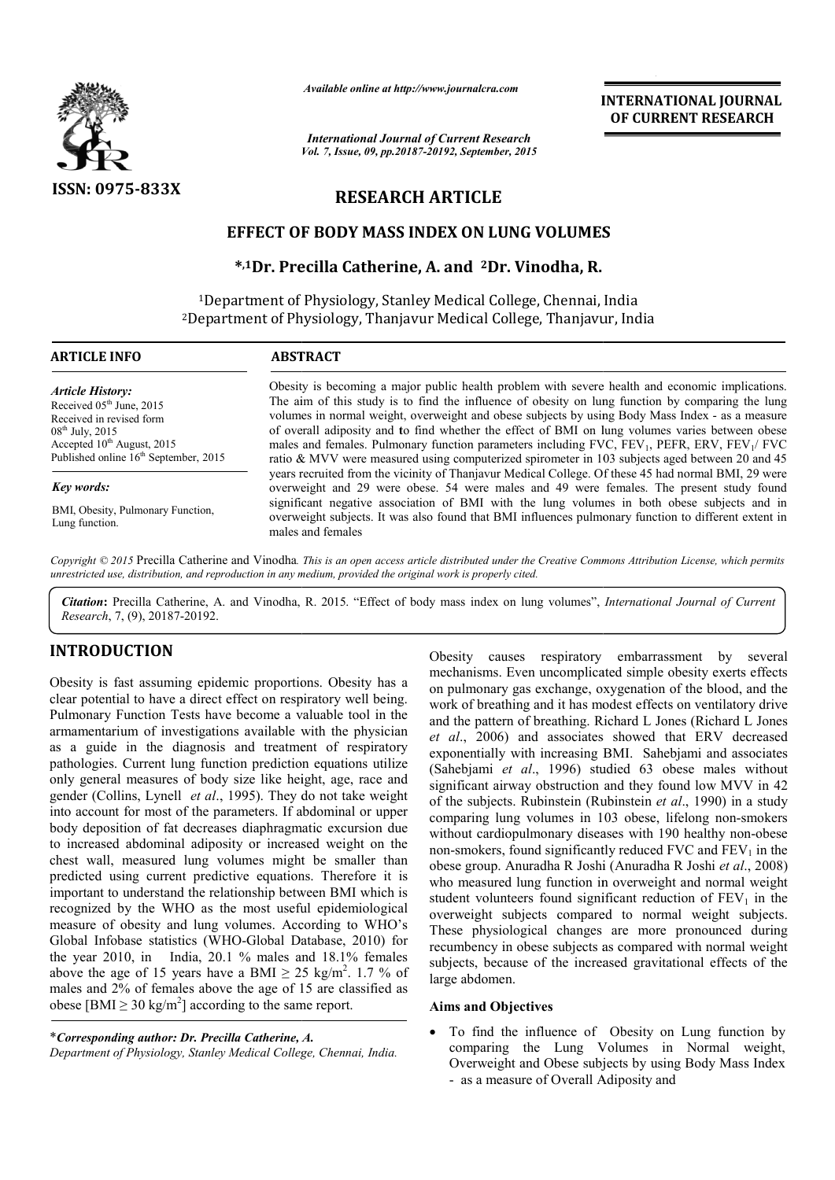

*Available online at http://www.journalcra.com*

*Vol. 7, Issue, 09, pp.20187-20192, September, 2015 International Journal of Current Research*

**INTERNATIONAL INTERNATIONAL JOURNAL OF CURRENT RESEARCH** 

# **RESEARCH ARTICLE**

## **EFFECT OF BODY MASS INDEX ON LUNG VOLUMES LUNG VOLUMES**

**\*,1Dr. Precilla Catherine, A. and Dr. 2Dr. Vinodha, R.**

<sup>1</sup>Department of Physiology, Stanley Medical College, Chennai, India <sup>2</sup>Department of Physiology, Thanjavur Medical College, Thanjavur, India

 $\overline{a}$ 

#### **ARTICLE INFO ABSTRACT**

*Article History:* Received 05<sup>th</sup> June, 2015 Received in revised form  $08^{th}$  July, 2015 Accepted 10<sup>th</sup> August, 2015 Published online 16<sup>th</sup> September, 2015

#### *Key words:*

BMI, Obesity, Pulmonary Function, Lung function.

Obesity is becoming a major public health problem with severe health and economic implications. The aim of this study is to find the influence of obesity on lung function by comparing the lung The aim of this study is to find the influence of obesity on lung function by comparing the lung volumes in normal weight, overweight and obese subjects by using Body Mass Index - as a measure of overall adiposity and **t**o find whether the effect of BMI on lung volumes varies between obese of overall adiposity and to find whether the effect of BMI on lung volumes varies between obese males and females. Pulmonary function parameters including FVC, FEV<sub>1</sub>, PEFR, ERV, FEV<sub>1</sub>/ FVC ratio & MVV were measured using computerized spirometer in 103 subjects aged between 20 and 45 years recruited from the vicinity of Thanjavur Medical College. Of these 45 had normal BMI, 29 were overweight and 29 were obese. 54 were males and 49 were females. The present study found significant negative association of BMI with the lung volumes in both obese subjects and in overweight subjects. It was also found that BMI influences pulmonary function to different extent in males and females were measured using computerized spirometer in 103 subjects aged between 20 and 45 d from the vicinity of Thanjavur Medical College. Of these 45 had normal BMI, 29 were males 49 were males and 49 were females. The present

Copyright © 2015 Precilla Catherine and Vinodha. This is an open access article distributed under the Creative Commons Attribution License, which permits *unrestricted use, distribution, and reproduction in any medium, provided the original work is properly cited.*

Citation: Precilla Catherine, A. and Vinodha, R. 2015. "Effect of body mass index on lung volumes", *International Journal of Current Research*, 7, (9), 20187-20192.

## **INTRODUCTION**

Obesity is fast assuming epidemic proportions. Obesity has a clear potential to have a direct effect on respiratory well being. Pulmonary Function Tests have become a valuable tool in the armamentarium of investigations available with the physician as a guide in the diagnosis and treatment of respiratory pathologies. Current lung function prediction equations utilize only general measures of body size like height, age, race and gender (Collins, Lynell *et al*., 1995). They do not take weight into account for most of the parameters. If abdominal or upper body deposition of fat decreases diaphragmatic excursion due to increased abdominal adiposity or increased weight on the chest wall, measured lung volumes might be smaller than predicted using current predictive equations. Therefore it is important to understand the relationship between BMI which is recognized by the WHO as the most useful epid measure of obesity and lung volumes. According to WHO's Global Infobase statistics (WHO-Global Database, 2010) for the year 2010, in India, 20.1 % males and 18.1% females above the age of 15 years have a BMI  $\geq$  25 kg/m<sup>2</sup>. 1.7 % of males and 2% of females above the age of 15 are classified as obese [BMI  $\geq$  30 kg/m<sup>2</sup>] according to the same report. f body size like height, age, race and *et al.*, 1995). They do not take weight the parameters. If abdominal or upper ecreases diaphragmatic excursion due adiposity or increased weight on the ung volumes might be smaller

\**Corresponding author: Dr. Precilla Catherine, A. Department of Physiology, Stanley Medical College, Chennai, India.* Obesity causes respiratory embarrassment by several mechanisms. Even uncomplicated simple obesity exerts effects on pulmonary gas exchange, oxygenation of the blood, and the work of breathing and it has modest effects on ventilatory drive and the pattern of breathing. Richard L Jones (Richard L Jones *et al*., 2006) and associates showed that ERV decreased exponentially with increasing BMI. Sahebjami and associates (Sahebjami *et al*., 1996) studied 63 obese males without significant airway obstruction and they found low MVV in 42 of the subjects. Rubinstein (Rubinstein Rubinstein *et al*., 1990) in a study comparing lung volumes in 103 obese, lifelong non 103 non-smokers without cardiopulmonary diseases with 190 healthy non-obese non-smokers, found significantly reduced  $FVC$  and  $FEV<sub>1</sub>$  in the obese group. Anuradha R Joshi R (Anuradha R Joshi *et al*., 2008) who measured lung function in overweight and normal weight who measured lung function in overweight and normal weight student volunteers found significant reduction of  $FEV<sub>1</sub>$  in the overweight subjects compared to normal weight subjects. These physiological changes are more pronounced during recumbency in obese subjects as compared with normal weight subjects, because of the increased gravitational effects of the large abdomen. causes respiratory embarrassment by several<br>ms. Even uncomplicated simple obesity exerts effects<br>hary gas exchange, oxygenation of the blood, and the<br>eathing and it has modest effects on ventilatory drive<br>tern of breathing overweight subjects compared to normal weight subjects.<br>These physiological changes are more pronounced during<br>recumbency in obese subjects as compared with normal weight<br>subjects, because of the increased gravitational ef

## **Aims and Objectives**

• To find the influence of Obesity on Lung function by comparing the Lung Volumes in Normal weight, Overweight and Obese subjects by using Body Mass Index - as a measure of Overall Adiposity and - as a measure of Overall Adiposity and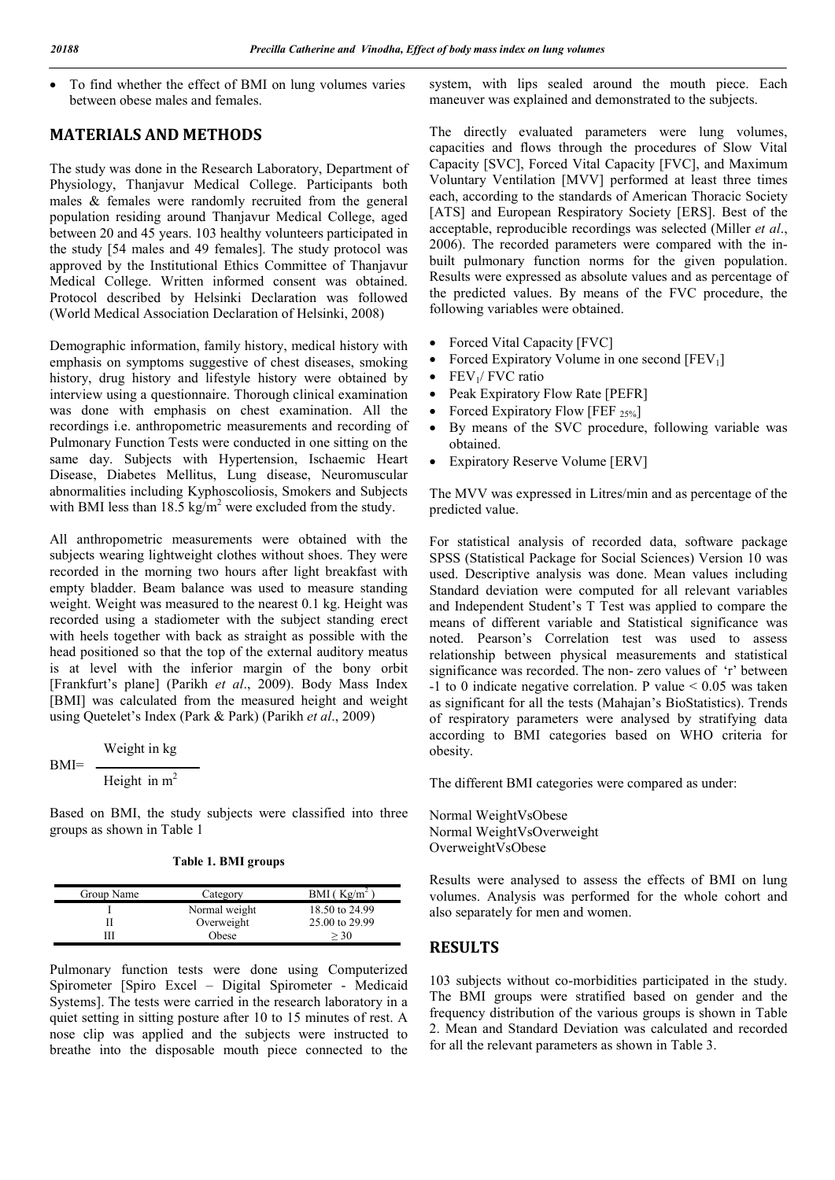To find whether the effect of BMI on lung volumes varies between obese males and females.

# **MATERIALS AND METHODS**

The study was done in the Research Laboratory, Department of Physiology, Thanjavur Medical College. Participants both males & females were randomly recruited from the general population residing around Thanjavur Medical College, aged between 20 and 45 years. 103 healthy volunteers participated in the study [54 males and 49 females]. The study protocol was approved by the Institutional Ethics Committee of Thanjavur Medical College. Written informed consent was obtained. Protocol described by Helsinki Declaration was followed (World Medical Association Declaration of Helsinki, 2008)

Demographic information, family history, medical history with emphasis on symptoms suggestive of chest diseases, smoking history, drug history and lifestyle history were obtained by interview using a questionnaire. Thorough clinical examination was done with emphasis on chest examination. All the recordings i.e. anthropometric measurements and recording of Pulmonary Function Tests were conducted in one sitting on the same day. Subjects with Hypertension, Ischaemic Heart Disease, Diabetes Mellitus, Lung disease, Neuromuscular abnormalities including Kyphoscoliosis, Smokers and Subjects with BMI less than 18.5 kg/m<sup>2</sup> were excluded from the study.

All anthropometric measurements were obtained with the subjects wearing lightweight clothes without shoes. They were recorded in the morning two hours after light breakfast with empty bladder. Beam balance was used to measure standing weight. Weight was measured to the nearest 0.1 kg. Height was recorded using a stadiometer with the subject standing erect with heels together with back as straight as possible with the head positioned so that the top of the external auditory meatus is at level with the inferior margin of the bony orbit [Frankfurt's plane] (Parikh *et al*., 2009). Body Mass Index [BMI] was calculated from the measured height and weight using Quetelet's Index (Park & Park) (Parikh *et al*., 2009)

$$
BMI = \frac{Weight in kg}{Height in m^2}
$$

Based on BMI, the study subjects were classified into three groups as shown in Table 1

| Table 1. BMI groups |  |  |  |  |
|---------------------|--|--|--|--|
|---------------------|--|--|--|--|

| Group Name | Category      | BMI(Kg/m <sup>2</sup> ) |
|------------|---------------|-------------------------|
|            | Normal weight | 18.50 to 24.99          |
|            | Overweight    | 25.00 to 29.99          |
|            | Obese         | > 30                    |

Pulmonary function tests were done using Computerized Spirometer [Spiro Excel – Digital Spirometer - Medicaid Systems]. The tests were carried in the research laboratory in a quiet setting in sitting posture after 10 to 15 minutes of rest. A nose clip was applied and the subjects were instructed to breathe into the disposable mouth piece connected to the

system, with lips sealed around the mouth piece. Each maneuver was explained and demonstrated to the subjects.

The directly evaluated parameters were lung volumes, capacities and flows through the procedures of Slow Vital Capacity [SVC], Forced Vital Capacity [FVC], and Maximum Voluntary Ventilation [MVV] performed at least three times each, according to the standards of American Thoracic Society [ATS] and European Respiratory Society [ERS]. Best of the acceptable, reproducible recordings was selected (Miller *et al*., 2006). The recorded parameters were compared with the inbuilt pulmonary function norms for the given population. Results were expressed as absolute values and as percentage of the predicted values. By means of the FVC procedure, the following variables were obtained.

- Forced Vital Capacity [FVC]
- Forced Expiratory Volume in one second  $[FEV<sub>1</sub>]$
- FEV<sub>1</sub>/ FVC ratio
- Peak Expiratory Flow Rate [PEFR]
- Forced Expiratory Flow [FEF  $_{25\%}$ ]
- By means of the SVC procedure, following variable was obtained.
- Expiratory Reserve Volume [ERV]

The MVV was expressed in Litres/min and as percentage of the predicted value.

For statistical analysis of recorded data, software package SPSS (Statistical Package for Social Sciences) Version 10 was used. Descriptive analysis was done. Mean values including Standard deviation were computed for all relevant variables and Independent Student's T Test was applied to compare the means of different variable and Statistical significance was noted. Pearson's Correlation test was used to assess relationship between physical measurements and statistical significance was recorded. The non- zero values of 'r' between  $-1$  to 0 indicate negative correlation. P value  $\leq 0.05$  was taken as significant for all the tests (Mahajan's BioStatistics). Trends of respiratory parameters were analysed by stratifying data according to BMI categories based on WHO criteria for obesity.

The different BMI categories were compared as under:

Normal WeightVsObese Normal WeightVsOverweight OverweightVsObese

Results were analysed to assess the effects of BMI on lung volumes. Analysis was performed for the whole cohort and also separately for men and women.

#### **RESULTS**

103 subjects without co-morbidities participated in the study. The BMI groups were stratified based on gender and the frequency distribution of the various groups is shown in Table 2. Mean and Standard Deviation was calculated and recorded for all the relevant parameters as shown in Table 3.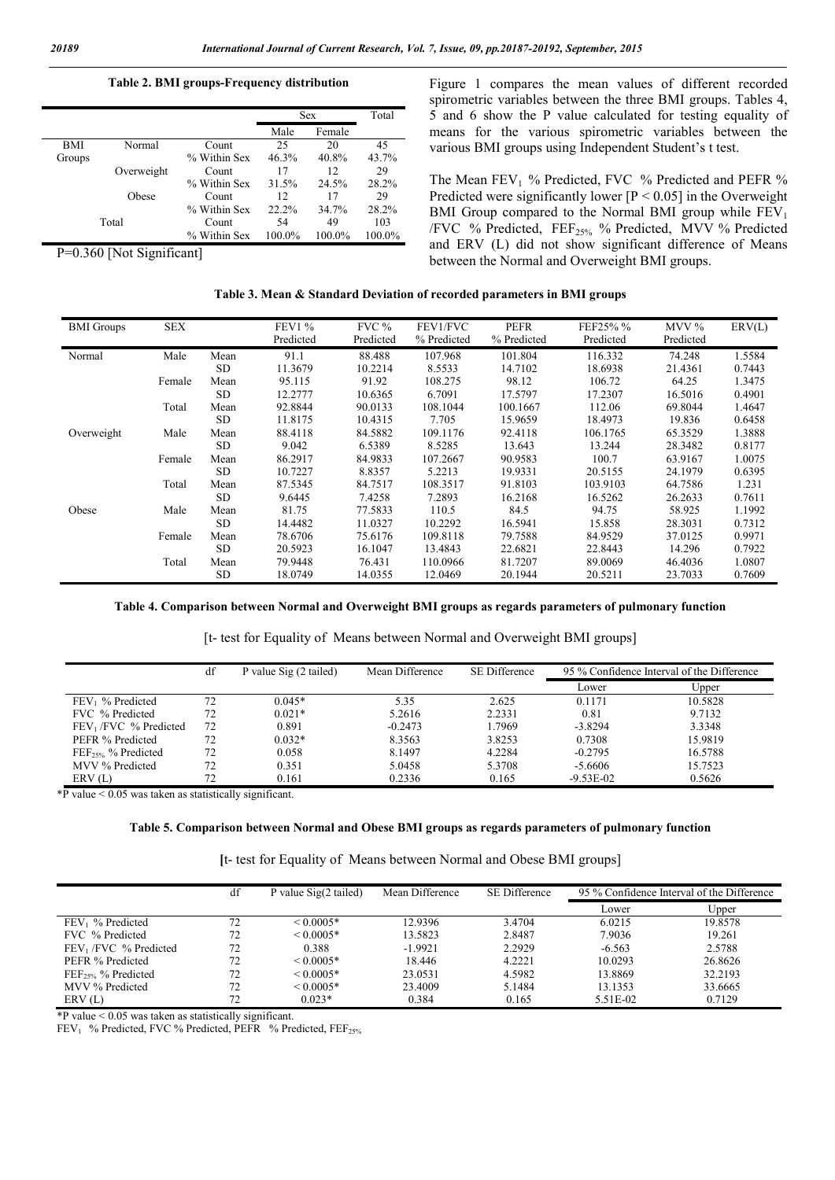#### **Table 2. BMI groups-Frequency distribution**

|            |            |              |        | <b>Sex</b> | Total  |
|------------|------------|--------------|--------|------------|--------|
|            |            |              | Male   | Female     |        |
| <b>BMI</b> | Normal     | Count        | 25     | 20         | 45     |
| Groups     |            | % Within Sex | 46.3%  | 40.8%      | 43.7%  |
|            | Overweight | Count        | 17     | 12         | 29     |
|            |            | % Within Sex | 31.5%  | 24.5%      | 28.2%  |
|            | Obese      | Count        | 12     | 17         | 29     |
|            |            | % Within Sex | 22.2%  | 34.7%      | 28.2%  |
|            | Total      | Count        | 54     | 49         | 103    |
|            |            | % Within Sex | 100.0% | 100.0%     | 100.0% |

P=0.360 [Not Significant]

Figure 1 compares the mean values of different recorded spirometric variables between the three BMI groups. Tables 4, 5 and 6 show the P value calculated for testing equality of means for the various spirometric variables between the various BMI groups using Independent Student's t test.

The Mean FEV<sub>1</sub> % Predicted, FVC % Predicted and PEFR % Predicted were significantly lower  $[P \le 0.05]$  in the Overweight BMI Group compared to the Normal BMI group while  $FEV<sub>1</sub>$ /FVC % Predicted, FEF25% % Predicted, MVV % Predicted and ERV (L) did not show significant difference of Means between the Normal and Overweight BMI groups.

|  | Table 3. Mean & Standard Deviation of recorded parameters in BMI groups |  |  |  |
|--|-------------------------------------------------------------------------|--|--|--|
|--|-------------------------------------------------------------------------|--|--|--|

| <b>BMI</b> Groups | <b>SEX</b> |           | <b>FEV1 %</b> | $FVC$ %   | FEV1/FVC    | <b>PEFR</b> | FEF25% %  | $MVV\%$   | ERV(L) |
|-------------------|------------|-----------|---------------|-----------|-------------|-------------|-----------|-----------|--------|
|                   |            |           | Predicted     | Predicted | % Predicted | % Predicted | Predicted | Predicted |        |
| Normal            | Male       | Mean      | 91.1          | 88.488    | 107.968     | 101.804     | 116.332   | 74.248    | 1.5584 |
|                   |            | <b>SD</b> | 11.3679       | 10.2214   | 8.5533      | 14.7102     | 18.6938   | 21.4361   | 0.7443 |
|                   | Female     | Mean      | 95.115        | 91.92     | 108.275     | 98.12       | 106.72    | 64.25     | 1.3475 |
|                   |            | <b>SD</b> | 12.2777       | 10.6365   | 6.7091      | 17.5797     | 17.2307   | 16.5016   | 0.4901 |
|                   | Total      | Mean      | 92.8844       | 90.0133   | 108.1044    | 100.1667    | 112.06    | 69.8044   | 1.4647 |
|                   |            | <b>SD</b> | 11.8175       | 10.4315   | 7.705       | 15.9659     | 18.4973   | 19.836    | 0.6458 |
| Overweight        | Male       | Mean      | 88.4118       | 84.5882   | 109.1176    | 92.4118     | 106.1765  | 65.3529   | 1.3888 |
|                   |            | <b>SD</b> | 9.042         | 6.5389    | 8.5285      | 13.643      | 13.244    | 28.3482   | 0.8177 |
|                   | Female     | Mean      | 86.2917       | 84.9833   | 107.2667    | 90.9583     | 100.7     | 63.9167   | 1.0075 |
|                   |            | <b>SD</b> | 10.7227       | 8.8357    | 5.2213      | 19.9331     | 20.5155   | 24.1979   | 0.6395 |
|                   | Total      | Mean      | 87.5345       | 84.7517   | 108.3517    | 91.8103     | 103.9103  | 64.7586   | 1.231  |
|                   |            | <b>SD</b> | 9.6445        | 7.4258    | 7.2893      | 16.2168     | 16.5262   | 26.2633   | 0.7611 |
| Obese             | Male       | Mean      | 81.75         | 77.5833   | 110.5       | 84.5        | 94.75     | 58.925    | 1.1992 |
|                   |            | <b>SD</b> | 14.4482       | 11.0327   | 10.2292     | 16.5941     | 15.858    | 28.3031   | 0.7312 |
|                   | Female     | Mean      | 78.6706       | 75.6176   | 109.8118    | 79.7588     | 84.9529   | 37.0125   | 0.9971 |
|                   |            | <b>SD</b> | 20.5923       | 16.1047   | 13.4843     | 22.6821     | 22.8443   | 14.296    | 0.7922 |
|                   | Total      | Mean      | 79.9448       | 76.431    | 110.0966    | 81.7207     | 89,0069   | 46.4036   | 1.0807 |
|                   |            | <b>SD</b> | 18.0749       | 14.0355   | 12.0469     | 20.1944     | 20.5211   | 23.7033   | 0.7609 |

#### **Table 4. Comparison between Normal and Overweight BMI groups as regards parameters of pulmonary function**

[t- test for Equality of Means between Normal and Overweight BMI groups]

|                          | df | P value Sig (2 tailed) | Mean Difference | <b>SE Difference</b> | 95 % Confidence Interval of the Difference |         |
|--------------------------|----|------------------------|-----------------|----------------------|--------------------------------------------|---------|
|                          |    |                        |                 |                      | Lower                                      | Upper   |
| $FEV_1$ % Predicted      | 72 | $0.045*$               | 5.35            | 2.625                | 0.1171                                     | 10.5828 |
| FVC % Predicted          | 72 | $0.021*$               | 5.2616          | 2.2331               | 0.81                                       | 9.7132  |
| $FEV1 / FVC$ % Predicted | 72 | 0.891                  | $-0.2473$       | 1.7969               | $-3.8294$                                  | 3.3348  |
| PEFR % Predicted         | 72 | $0.032*$               | 8.3563          | 3.8253               | 0.7308                                     | 15.9819 |
| $FEF_{25\%}$ % Predicted | 72 | 0.058                  | 8.1497          | 4.2284               | $-0.2795$                                  | 16.5788 |
| MVV % Predicted          | 72 | 0.351                  | 5.0458          | 5.3708               | $-5.6606$                                  | 15.7523 |
| ERV(L)                   | 72 | 0.161                  | 0.2336          | 0.165                | $-9.53E - 02$                              | 0.5626  |

\*P value < 0.05 was taken as statistically significant.

# **Table 5. Comparison between Normal and Obese BMI groups as regards parameters of pulmonary function**

**[**t- test for Equality of Means between Normal and Obese BMI groups]

|                          | df | P value $Sig(2 \ntailed)$ | Mean Difference | <b>SE Difference</b> | 95 % Confidence Interval of the Difference |         |
|--------------------------|----|---------------------------|-----------------|----------------------|--------------------------------------------|---------|
|                          |    |                           |                 |                      | Lower                                      | Upper   |
| $FEV_1$ % Predicted      | 72 | $\leq 0.0005*$            | 12.9396         | 3.4704               | 6.0215                                     | 19.8578 |
| FVC % Predicted          | 72 | $< 0.0005*$               | 13.5823         | 2.8487               | 7.9036                                     | 19.261  |
| $FEV1 / FVC$ % Predicted | 72 | 0.388                     | $-1.9921$       | 2.2929               | $-6.563$                                   | 2.5788  |
| PEFR % Predicted         | 72 | $\leq 0.0005*$            | 18.446          | 4.2221               | 10.0293                                    | 26.8626 |
| $FEF_{25\%}$ % Predicted | 72 | $\leq 0.0005*$            | 23.0531         | 4.5982               | 13.8869                                    | 32.2193 |
| MVV % Predicted          | 72 | $< 0.0005*$               | 23.4009         | 5.1484               | 13.1353                                    | 33.6665 |
| ERV(L)                   | 72 | $0.023*$                  | 0.384           | 0.165                | 5.51E-02                                   | 0.7129  |

 $*P$  value  $\leq 0.05$  was taken as statistically significant.

 $FEV<sub>1</sub>$  % Predicted, FVC % Predicted, PEFR % Predicted, FEF<sub>25%</sub>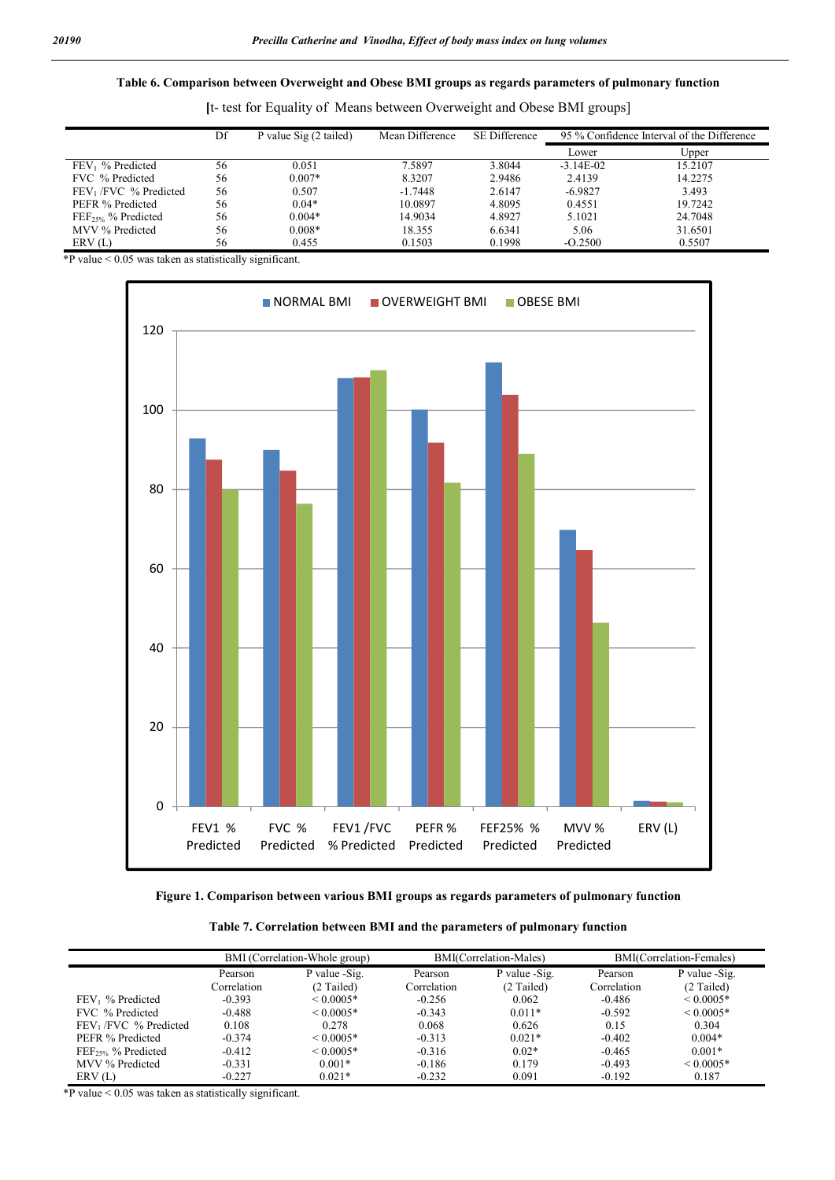## **Table 6. Comparison between Overweight and Obese BMI groups as regards parameters of pulmonary function**

|                                   | Df | P value Sig (2 tailed) | Mean Difference | <b>SE Difference</b> | 95 % Confidence Interval of the Difference |         |
|-----------------------------------|----|------------------------|-----------------|----------------------|--------------------------------------------|---------|
|                                   |    |                        |                 |                      | Lower                                      | Upper   |
| FEV <sub>1</sub> % Predicted      | 56 | 0.051                  | 7.5897          | 3.8044               | $-3.14E - 02$                              | 15.2107 |
| FVC % Predicted                   | 56 | $0.007*$               | 8.3207          | 2.9486               | 2.4139                                     | 14.2275 |
| FEV <sub>1</sub> /FVC % Predicted | 56 | 0.507                  | $-1.7448$       | 2.6147               | $-6.9827$                                  | 3.493   |
| PEFR % Predicted                  | 56 | $0.04*$                | 10.0897         | 4.8095               | 0.4551                                     | 19.7242 |
| FEF <sub>25%</sub> % Predicted    | 56 | $0.004*$               | 14.9034         | 4.8927               | 5.1021                                     | 24.7048 |
| MVV % Predicted                   | 56 | $0.008*$               | 18.355          | 6.6341               | 5.06                                       | 31.6501 |
| ERV(L)                            | 56 | 0.455                  | 0.1503          | 0.1998               | $-0.2500$                                  | 0.5507  |

**[**t- test for Equality of Means between Overweight and Obese BMI groups]

\*P value < 0.05 was taken as statistically significant.



|  | Figure 1. Comparison between various BMI groups as regards parameters of pulmonary function |  |  |  |
|--|---------------------------------------------------------------------------------------------|--|--|--|
|  |                                                                                             |  |  |  |

| Table 7. Correlation between BMI and the parameters of pulmonary function |  |  |
|---------------------------------------------------------------------------|--|--|
|---------------------------------------------------------------------------|--|--|

|                        | BMI (Correlation-Whole group) |                | BMI(Correlation-Males) |               | BMI(Correlation-Females) |                |
|------------------------|-------------------------------|----------------|------------------------|---------------|--------------------------|----------------|
|                        | Pearson                       | P value -Sig.  | Pearson                | P value -Sig. | Pearson                  | P value -Sig.  |
|                        | Correlation                   | (2 Tailed)     | Correlation            | (2 Tailed)    | Correlation              | (2 Tailed)     |
| $FEV_1$ % Predicted    | $-0.393$                      | $< 0.0005*$    | $-0.256$               | 0.062         | $-0.486$                 | $\leq 0.0005*$ |
| FVC % Predicted        | $-0.488$                      | $\leq 0.0005*$ | $-0.343$               | $0.011*$      | $-0.592$                 | $\leq 0.0005*$ |
| $FEV1/FVC$ % Predicted | 0.108                         | 0.278          | 0.068                  | 0.626         | 0.15                     | 0.304          |
| PEFR % Predicted       | $-0.374$                      | $\leq 0.0005*$ | $-0.313$               | $0.021*$      | $-0.402$                 | $0.004*$       |
| $FEF25%$ % Predicted   | $-0.412$                      | $\leq 0.0005*$ | $-0.316$               | $0.02*$       | $-0.465$                 | $0.001*$       |
| MVV % Predicted        | $-0.331$                      | $0.001*$       | $-0.186$               | 0.179         | $-0.493$                 | $\leq 0.0005*$ |
| ERV(L)                 | $-0.227$                      | $0.021*$       | $-0.232$               | 0.091         | $-0.192$                 | 0.187          |

\*P value < 0.05 was taken as statistically significant.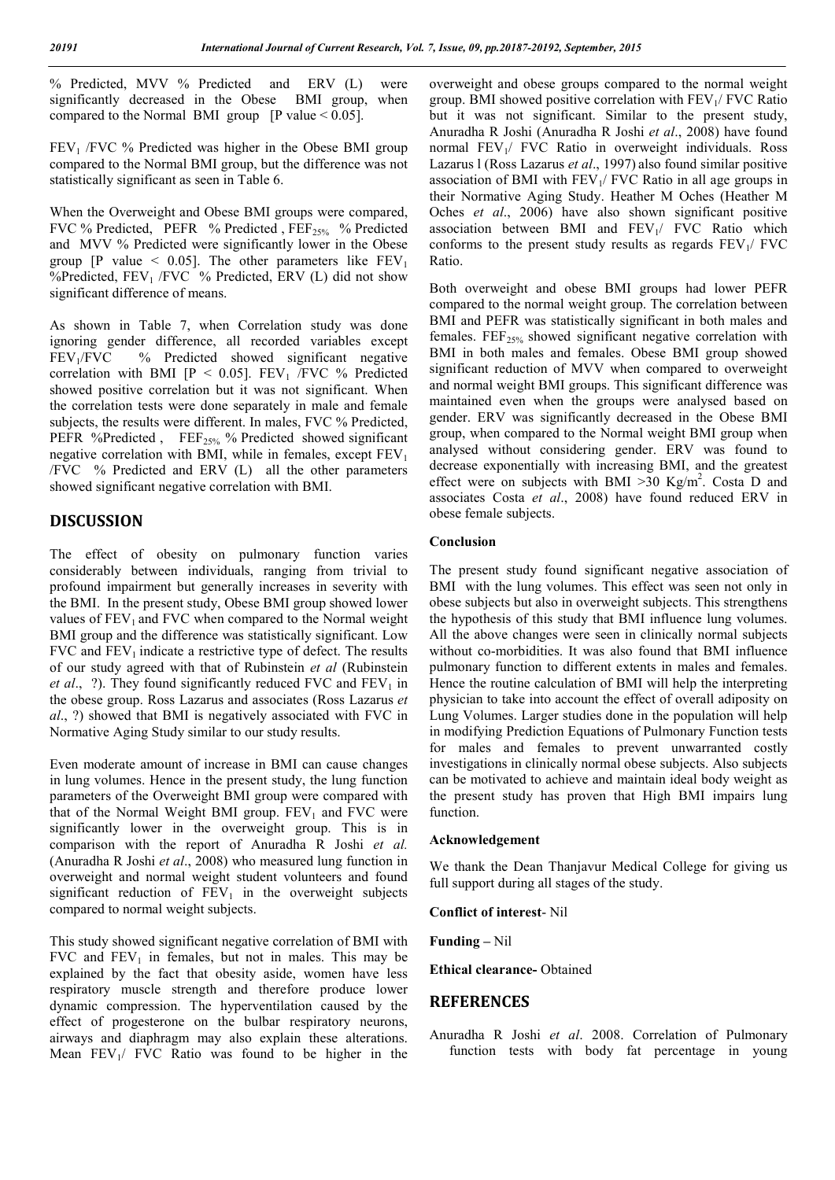% Predicted, MVV % Predicted and ERV (L) were significantly decreased in the Obese BMI group, when compared to the Normal BMI group  $[P$  value  $< 0.05]$ .

 $FEV<sub>1</sub> / FVC$  % Predicted was higher in the Obese BMI group compared to the Normal BMI group, but the difference was not statistically significant as seen in Table 6.

When the Overweight and Obese BMI groups were compared, FVC % Predicted, PEFR % Predicted, FEF<sub>25%</sub> % Predicted and MVV % Predicted were significantly lower in the Obese group [P value < 0.05]. The other parameters like  $FEV<sub>1</sub>$ %Predicted, FEV<sub>1</sub> /FVC % Predicted, ERV (L) did not show significant difference of means.

As shown in Table 7, when Correlation study was done ignoring gender difference, all recorded variables except  $FEV<sub>1</sub>/FVC$  % Predicted showed significant negative correlation with BMI  $[P \le 0.05]$ . FEV<sub>1</sub> /FVC % Predicted showed positive correlation but it was not significant. When the correlation tests were done separately in male and female subjects, the results were different. In males, FVC % Predicted, PEFR %Predicted, FEF<sub>25%</sub> % Predicted showed significant negative correlation with BMI, while in females, except  $FEV<sub>1</sub>$ /FVC % Predicted and ERV (L) all the other parameters showed significant negative correlation with BMI.

# **DISCUSSION**

The effect of obesity on pulmonary function varies considerably between individuals, ranging from trivial to profound impairment but generally increases in severity with the BMI. In the present study, Obese BMI group showed lower values of  $FEV<sub>1</sub>$  and  $FVC$  when compared to the Normal weight BMI group and the difference was statistically significant. Low  $FVC$  and  $FEV<sub>1</sub>$  indicate a restrictive type of defect. The results of our study agreed with that of Rubinstein *et al* (Rubinstein *et al.*, ?). They found significantly reduced FVC and FEV<sub>1</sub> in the obese group. Ross Lazarus and associates (Ross Lazarus *et al*., ?) showed that BMI is negatively associated with FVC in Normative Aging Study similar to our study results.

Even moderate amount of increase in BMI can cause changes in lung volumes. Hence in the present study, the lung function parameters of the Overweight BMI group were compared with that of the Normal Weight BMI group.  $FEV<sub>1</sub>$  and FVC were significantly lower in the overweight group. This is in comparison with the report of Anuradha R Joshi *et al.*  (Anuradha R Joshi *et al*., 2008) who measured lung function in overweight and normal weight student volunteers and found significant reduction of  $FEV_1$  in the overweight subjects compared to normal weight subjects.

This study showed significant negative correlation of BMI with FVC and  $FEV_1$  in females, but not in males. This may be explained by the fact that obesity aside, women have less respiratory muscle strength and therefore produce lower dynamic compression. The hyperventilation caused by the effect of progesterone on the bulbar respiratory neurons, airways and diaphragm may also explain these alterations. Mean  $FEV<sub>1</sub>/FVC$  Ratio was found to be higher in the

overweight and obese groups compared to the normal weight group. BMI showed positive correlation with  $FEV<sub>1</sub>/FVC$  Ratio but it was not significant. Similar to the present study, Anuradha R Joshi (Anuradha R Joshi *et al*., 2008) have found normal FEV<sub>1</sub>/ FVC Ratio in overweight individuals. Ross Lazarus l (Ross Lazarus *et al*., 1997) also found similar positive association of BMI with  $FEV<sub>1</sub>/FVC$  Ratio in all age groups in their Normative Aging Study. Heather M Oches (Heather M Oches *et al*., 2006) have also shown significant positive association between BMI and FEV1/ FVC Ratio which conforms to the present study results as regards  $FEV<sub>1</sub>/FVC$ Ratio.

Both overweight and obese BMI groups had lower PEFR compared to the normal weight group. The correlation between BMI and PEFR was statistically significant in both males and females.  $FEF<sub>25%</sub>$  showed significant negative correlation with BMI in both males and females. Obese BMI group showed significant reduction of MVV when compared to overweight and normal weight BMI groups. This significant difference was maintained even when the groups were analysed based on gender. ERV was significantly decreased in the Obese BMI group, when compared to the Normal weight BMI group when analysed without considering gender. ERV was found to decrease exponentially with increasing BMI, and the greatest effect were on subjects with BMI  $>30$  Kg/m<sup>2</sup>. Costa D and associates Costa *et al*., 2008) have found reduced ERV in obese female subjects.

#### **Conclusion**

The present study found significant negative association of BMI with the lung volumes. This effect was seen not only in obese subjects but also in overweight subjects. This strengthens the hypothesis of this study that BMI influence lung volumes. All the above changes were seen in clinically normal subjects without co-morbidities. It was also found that BMI influence pulmonary function to different extents in males and females. Hence the routine calculation of BMI will help the interpreting physician to take into account the effect of overall adiposity on Lung Volumes. Larger studies done in the population will help in modifying Prediction Equations of Pulmonary Function tests for males and females to prevent unwarranted costly investigations in clinically normal obese subjects. Also subjects can be motivated to achieve and maintain ideal body weight as the present study has proven that High BMI impairs lung function.

#### **Acknowledgement**

We thank the Dean Thanjavur Medical College for giving us full support during all stages of the study.

**Conflict of interest**- Nil

**Funding –** Nil

**Ethical clearance-** Obtained

### **REFERENCES**

Anuradha R Joshi *et al*. 2008. Correlation of Pulmonary function tests with body fat percentage in young